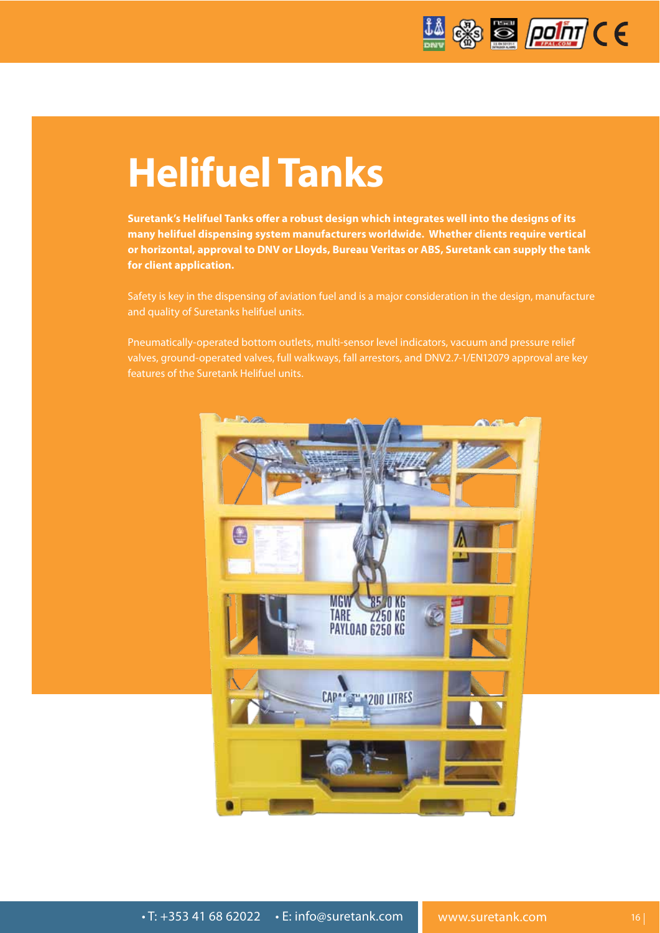

# **Helifuel Tanks**

**Suretank's Helifuel Tanks o!er a robust design which integrates well into the designs of its many helifuel dispensing system manufacturers worldwide. Whether clients require vertical or horizontal, approval to DNV or Lloyds, Bureau Veritas or ABS, Suretank can supply the tank for client application.**

Safety is key in the dispensing of aviation fuel and is a major consideration in the design, manufacture and quality of Suretanks helifuel units.

Pneumatically-operated bottom outlets, multi-sensor level indicators, vacuum and pressure relief valves, ground-operated valves, full walkways, fall arrestors, and DNV2.7-1/EN12079 approval are key features of the Suretank Helifuel units.

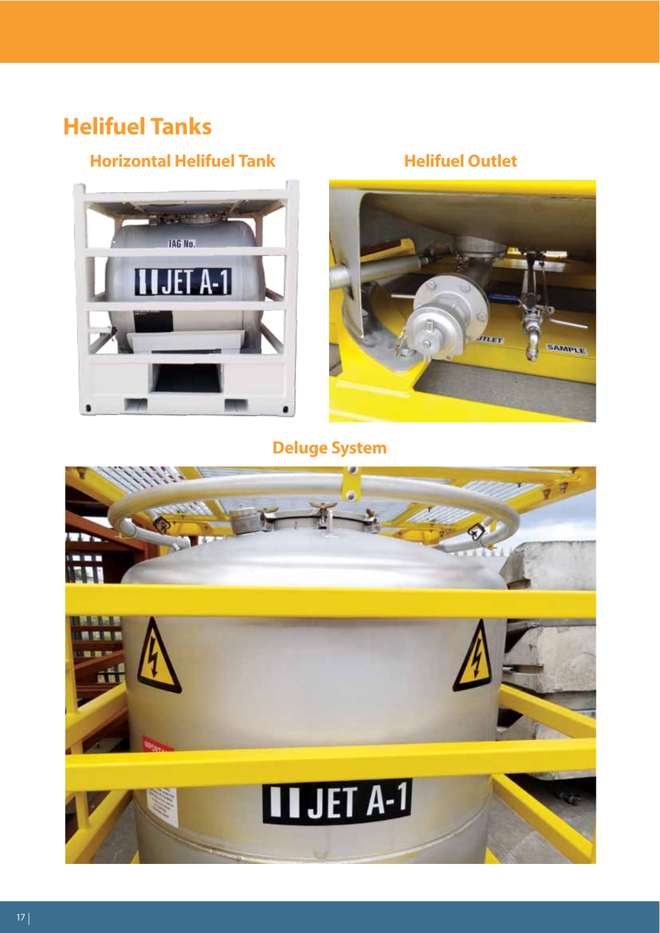## **Helifuel Tanks**

#### **Horizontal Helifuel Tank Helifuel Outlet**







**Deluge System**

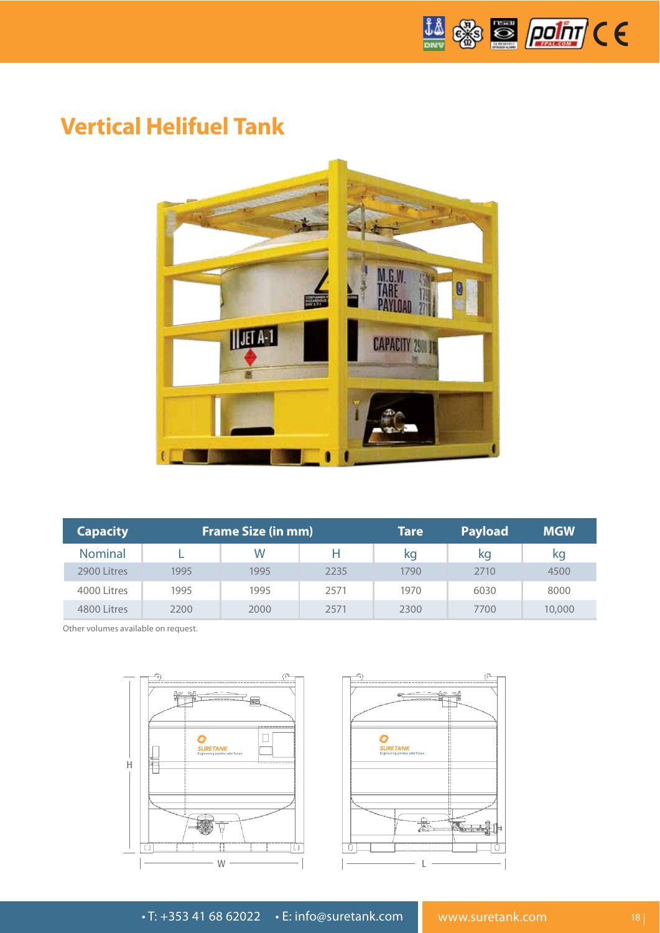

### **Vertical Helifuel Tank**



| <b>Capacity</b> | <b>Frame Size (in mm)</b> |      |      | Tare | <b>Payload</b> | <b>MGW</b> |
|-----------------|---------------------------|------|------|------|----------------|------------|
| <b>Nominal</b>  |                           | W    | н    | kq   | kq             | kg         |
| 2900 Litres     | 1995                      | 1995 | 2235 | 1790 | 2710           | 4500       |
| 4000 Litres     | 1995                      | 1995 | 2571 | 1970 | 6030           | 8000       |
| 4800 Litres     | 2200                      | 2000 | 2571 | 2300 | 7700           | 10,000     |

Other volumes available on request.